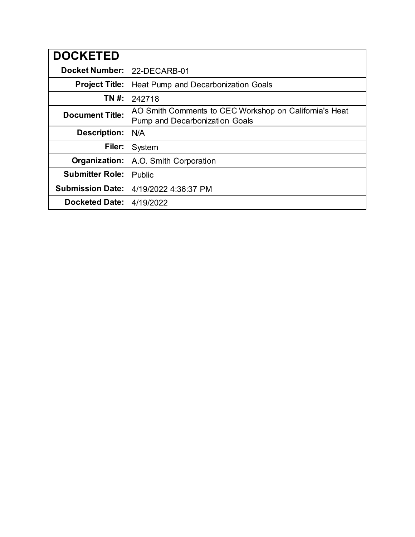| <b>DOCKETED</b>         |                                                                                          |
|-------------------------|------------------------------------------------------------------------------------------|
| <b>Docket Number:</b>   | 22-DECARB-01                                                                             |
| <b>Project Title:</b>   | Heat Pump and Decarbonization Goals                                                      |
| TN #:                   | 242718                                                                                   |
| <b>Document Title:</b>  | AO Smith Comments to CEC Workshop on California's Heat<br>Pump and Decarbonization Goals |
| <b>Description:</b>     | N/A                                                                                      |
| Filer:                  | System                                                                                   |
| Organization:           | A.O. Smith Corporation                                                                   |
| <b>Submitter Role:</b>  | Public                                                                                   |
| <b>Submission Date:</b> | 4/19/2022 4:36:37 PM                                                                     |
| <b>Docketed Date:</b>   | 4/19/2022                                                                                |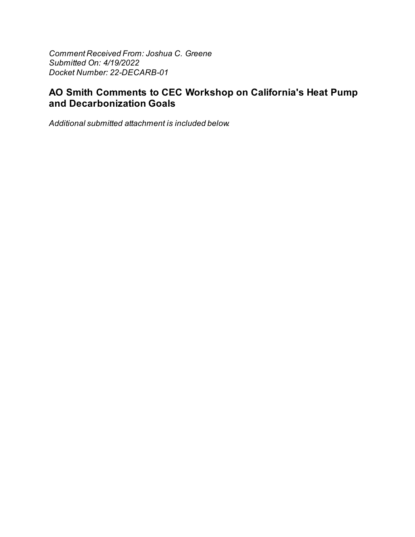Comment Received From: Joshua C. Greene Submitted On: 4/19/2022 Docket Number: 22-DECARB-01

# AO Smith Comments to CEC Workshop on California's Heat Pump and Decarbonization Goals

Additional submitted attachment is included below.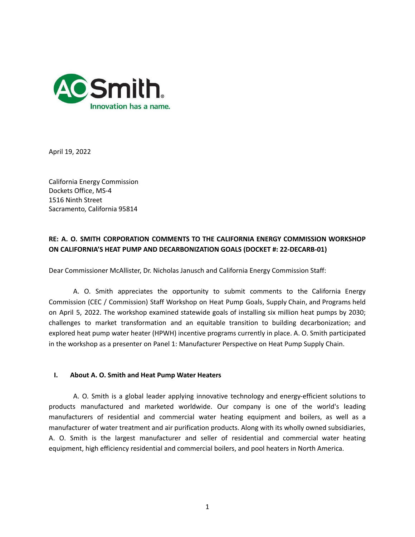

April 19, 2022

California Energy Commission Dockets Office, MS-4 1516 Ninth Street Sacramento, California 95814

# **RE: A. O. SMITH CORPORATION COMMENTS TO THE CALIFORNIA ENERGY COMMISSION WORKSHOP ON CALIFORNIA'S HEAT PUMP AND DECARBONIZATION GOALS (DOCKET #: 22-DECARB-01)**

Dear Commissioner McAllister, Dr. Nicholas Janusch and California Energy Commission Staff:

A. O. Smith appreciates the opportunity to submit comments to the California Energy Commission (CEC / Commission) Staff Workshop on Heat Pump Goals, Supply Chain, and Programs held on April 5, 2022. The workshop examined statewide goals of installing six million heat pumps by 2030; challenges to market transformation and an equitable transition to building decarbonization; and explored heat pump water heater (HPWH) incentive programs currently in place. A. O. Smith participated in the workshop as a presenter on Panel 1: Manufacturer Perspective on Heat Pump Supply Chain.

# **I. About A. O. Smith and Heat Pump Water Heaters**

A. O. Smith is a global leader applying innovative technology and energy-efficient solutions to products manufactured and marketed worldwide. Our company is one of the world's leading manufacturers of residential and commercial water heating equipment and boilers, as well as a manufacturer of water treatment and air purification products. Along with its wholly owned subsidiaries, A. O. Smith is the largest manufacturer and seller of residential and commercial water heating equipment, high efficiency residential and commercial boilers, and pool heaters in North America.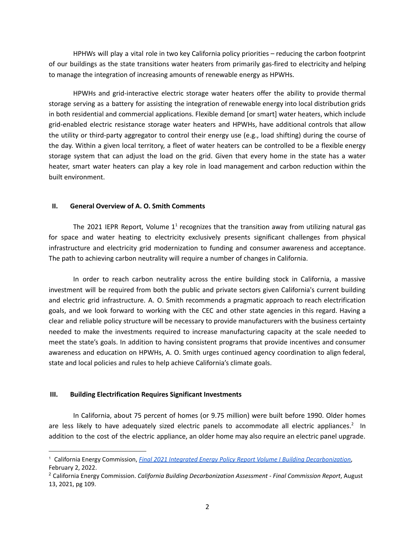HPHWs will play a vital role in two key California policy priorities – reducing the carbon footprint of our buildings as the state transitions water heaters from primarily gas-fired to electricity and helping to manage the integration of increasing amounts of renewable energy as HPWHs.

HPWHs and grid-interactive electric storage water heaters offer the ability to provide thermal storage serving as a battery for assisting the integration of renewable energy into local distribution grids in both residential and commercial applications. Flexible demand [or smart] water heaters, which include grid-enabled electric resistance storage water heaters and HPWHs, have additional controls that allow the utility or third-party aggregator to control their energy use (e.g., load shifting) during the course of the day. Within a given local territory, a fleet of water heaters can be controlled to be a flexible energy storage system that can adjust the load on the grid. Given that every home in the state has a water heater, smart water heaters can play a key role in load management and carbon reduction within the built environment.

## **II. General Overview of A. O. Smith Comments**

The 2021 IEPR Report, Volume  $1^1$  recognizes that the transition away from utilizing natural gas for space and water heating to electricity exclusively presents significant challenges from physical infrastructure and electricity grid modernization to funding and consumer awareness and acceptance. The path to achieving carbon neutrality will require a number of changes in California.

In order to reach carbon neutrality across the entire building stock in California, a massive investment will be required from both the public and private sectors given California's current building and electric grid infrastructure. A. O. Smith recommends a pragmatic approach to reach electrification goals, and we look forward to working with the CEC and other state agencies in this regard. Having a clear and reliable policy structure will be necessary to provide manufacturers with the business certainty needed to make the investments required to increase manufacturing capacity at the scale needed to meet the state's goals. In addition to having consistent programs that provide incentives and consumer awareness and education on HPWHs, A. O. Smith urges continued agency coordination to align federal, state and local policies and rules to help achieve California's climate goals.

# **III. Building Electrification Requires Significant Investments**

In California, about 75 percent of homes (or 9.75 million) were built before 1990. Older homes are less likely to have adequately sized electric panels to accommodate all electric appliances.<sup>2</sup> In addition to the cost of the electric appliance, an older home may also require an electric panel upgrade.

<sup>1</sup> California Energy Commission, *Final 2021 Integrated Energy Policy Report Volume I Building [Decarbonization](https://efiling.energy.ca.gov/GetDocument.aspx?tn=241599)*, February 2, 2022.

<sup>2</sup> California Energy Commission. *California Building Decarbonization Assessment - Final Commission Report*, August 13, 2021, pg 109.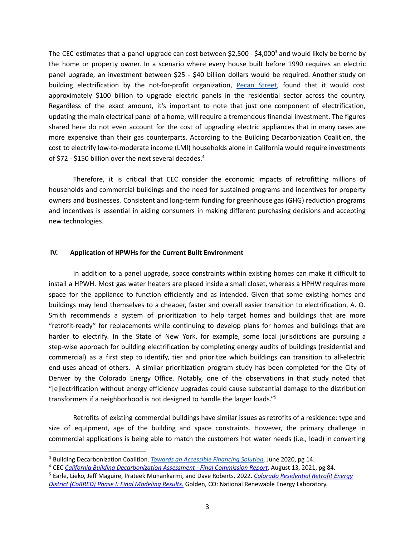The CEC estimates that a panel upgrade can cost between \$2,500 - \$4,000<sup>3</sup> and would likely be borne by the home or property owner. In a scenario where every house built before 1990 requires an electric panel upgrade, an investment between \$25 - \$40 billion dollars would be required. Another study on building electrification by the not-for-profit organization, Pecan [Street,](https://www.pecanstreet.org/?gclid=CjwKCAjwybyJBhBwEiwAvz4G777eMKlfGRZZKv8Ij16AR40eT1LSEHuk3Ue2BvP3IQPEppkEazlGvRoC2FsQAvD_BwE) found that it would cost approximately \$100 billion to upgrade electric panels in the residential sector across the country. Regardless of the exact amount, it's important to note that just one component of electrification, updating the main electrical panel of a home, will require a tremendous financial investment. The figures shared here do not even account for the cost of upgrading electric appliances that in many cases are more expensive than their gas counterparts. According to the Building Decarbonization Coalition, the cost to electrify low-to-moderate income (LMI) households alone in California would require investments of \$72 - \$150 billion over the next several decades. 4

Therefore, it is critical that CEC consider the economic impacts of retrofitting millions of households and commercial buildings and the need for sustained programs and incentives for property owners and businesses. Consistent and long-term funding for greenhouse gas (GHG) reduction programs and incentives is essential in aiding consumers in making different purchasing decisions and accepting new technologies.

## **IV. Application of HPWHs for the Current Built Environment**

In addition to a panel upgrade, space constraints within existing homes can make it difficult to install a HPWH. Most gas water heaters are placed inside a small closet, whereas a HPHW requires more space for the appliance to function efficiently and as intended. Given that some existing homes and buildings may lend themselves to a cheaper, faster and overall easier transition to electrification, A. O. Smith recommends a system of prioritization to help target homes and buildings that are more "retrofit-ready" for replacements while continuing to develop plans for homes and buildings that are harder to electrify. In the State of New York, for example, some local jurisdictions are pursuing a step-wise approach for building electrification by completing energy audits of buildings (residential and commercial) as a first step to identify, tier and prioritize which buildings can transition to all-electric end-uses ahead of others. A similar prioritization program study has been completed for the City of Denver by the Colorado Energy Office. Notably, one of the observations in that study noted that "[e]lectrification without energy efficiency upgrades could cause substantial damage to the distribution transformers if a neighborhood is not designed to handle the larger loads." 5

Retrofits of existing commercial buildings have similar issues as retrofits of a residence: type and size of equipment, age of the building and space constraints. However, the primary challenge in commercial applications is being able to match the customers hot water needs (i.e., load) in converting

<sup>3</sup> Building Decarbonization Coalition. *Towards an [Accessible](https://www.buildingdecarb.org/uploads/3/0/7/3/30734489/bdc_junewhitepaper_designdraft.pdf) Financing Solution*. June 2020, pg 14.

<sup>4</sup> CEC *California Building [Decarbonization](https://www.energy.ca.gov/publications/2021/california-building-decarbonization-assessment) Assessment - Final Commission Report*, August 13, 2021, pg 84.

<sup>5</sup> Earle, Lieko, Jeff Maguire, Prateek Munankarmi, and Dave Roberts. 2022. *Colorado [Residential](https://www.nrel.gov/docs/fy22osti/82325.pdf) Retrofit Energy District (CoRRED) Phase I: Final [Modeling](https://www.nrel.gov/docs/fy22osti/82325.pdf) Results*. Golden, CO: National Renewable Energy Laboratory.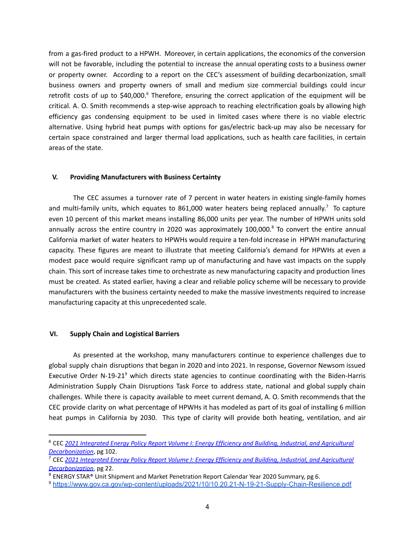from a gas-fired product to a HPWH. Moreover, in certain applications, the economics of the conversion will not be favorable, including the potential to increase the annual operating costs to a business owner or property owner. According to a report on the CEC's assessment of building decarbonization, small business owners and property owners of small and medium size commercial buildings could incur retrofit costs of up to \$40,000.<sup>6</sup> Therefore, ensuring the correct application of the equipment will be critical. A. O. Smith recommends a step-wise approach to reaching electrification goals by allowing high efficiency gas condensing equipment to be used in limited cases where there is no viable electric alternative. Using hybrid heat pumps with options for gas/electric back-up may also be necessary for certain space constrained and larger thermal load applications, such as health care facilities, in certain areas of the state.

# **V. Providing Manufacturers with Business Certainty**

The CEC assumes a turnover rate of 7 percent in water heaters in existing single-family homes and multi-family units, which equates to 861,000 water heaters being replaced annually.<sup>7</sup> To capture even 10 percent of this market means installing 86,000 units per year. The number of HPWH units sold annually across the entire country in 2020 was approximately 100,000.<sup>8</sup> To convert the entire annual California market of water heaters to HPWHs would require a ten-fold increase in HPWH manufacturing capacity. These figures are meant to illustrate that meeting California's demand for HPWHs at even a modest pace would require significant ramp up of manufacturing and have vast impacts on the supply chain. This sort of increase takes time to orchestrate as new manufacturing capacity and production lines must be created. As stated earlier, having a clear and reliable policy scheme will be necessary to provide manufacturers with the business certainty needed to make the massive investments required to increase manufacturing capacity at this unprecedented scale.

## **VI. Supply Chain and Logistical Barriers**

As presented at the workshop, many manufacturers continue to experience challenges due to global supply chain disruptions that began in 2020 and into 2021. In response, Governor Newsom issued Executive Order N-19-21<sup>9</sup> which directs state agencies to continue coordinating with the Biden-Harris Administration Supply Chain Disruptions Task Force to address state, national and global supply chain challenges. While there is capacity available to meet current demand, A. O. Smith recommends that the CEC provide clarity on what percentage of HPWHs it has modeled as part of its goal of installing 6 million heat pumps in California by 2030. This type of clarity will provide both heating, ventilation, and air

<sup>6</sup> CEC *2021 Integrated Energy Policy Report Volume I: Energy Efficiency and Building, Industrial, and [Agricultural](https://efiling.energy.ca.gov/GetDocument.aspx?tn=241599) [Decarbonization](https://efiling.energy.ca.gov/GetDocument.aspx?tn=241599)*, pg 102.

<sup>7</sup> CEC *2021 Integrated Energy Policy Report Volume I: Energy Efficiency and Building, Industrial, and [Agricultural](https://efiling.energy.ca.gov/GetDocument.aspx?tn=241599) [Decarbonization](https://efiling.energy.ca.gov/GetDocument.aspx?tn=241599)*, pg 22.

 $8$  ENERGY STAR® Unit Shipment and Market Penetration Report Calendar Year 2020 Summary, pg 6.

<sup>9</sup> <https://www.gov.ca.gov/wp-content/uploads/2021/10/10.20.21-N-19-21-Supply-Chain-Resilience.pdf>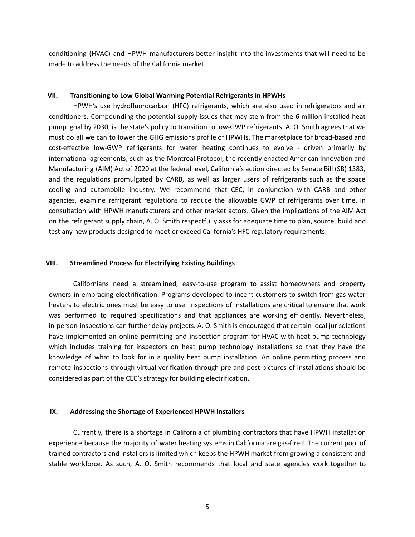conditioning (HVAC) and HPWH manufacturers better insight into the investments that will need to be made to address the needs of the California market.

#### **VII. Transitioning to Low Global Warming Potential Refrigerants in HPWHs**

HPWH's use hydrofluorocarbon (HFC) refrigerants, which are also used in refrigerators and air conditioners. Compounding the potential supply issues that may stem from the 6 million installed heat pump goal by 2030, is the state's policy to transition to low-GWP refrigerants. A. O. Smith agrees that we must do all we can to lower the GHG emissions profile of HPWHs. The marketplace for broad-based and cost-effective low-GWP refrigerants for water heating continues to evolve - driven primarily by international agreements, such as the Montreal Protocol, the recently enacted American Innovation and Manufacturing (AIM) Act of 2020 at the federal level, California's action directed by Senate Bill (SB) 1383, and the regulations promulgated by CARB, as well as larger users of refrigerants such as the space cooling and automobile industry. We recommend that CEC, in conjunction with CARB and other agencies, examine refrigerant regulations to reduce the allowable GWP of refrigerants over time, in consultation with HPWH manufacturers and other market actors. Given the implications of the AIM Act on the refrigerant supply chain, A. O. Smith respectfully asks for adequate time to plan, source, build and test any new products designed to meet or exceed California's HFC regulatory requirements.

#### **VIII. Streamlined Process for Electrifying Existing Buildings**

Californians need a streamlined, easy-to-use program to assist homeowners and property owners in embracing electrification. Programs developed to incent customers to switch from gas water heaters to electric ones must be easy to use. Inspections of installations are critical to ensure that work was performed to required specifications and that appliances are working efficiently. Nevertheless, in-person inspections can further delay projects. A. O. Smith is encouraged that certain local jurisdictions have implemented an online permitting and inspection program for HVAC with heat pump technology which includes training for inspectors on heat pump technology installations so that they have the knowledge of what to look for in a quality heat pump installation. An online permitting process and remote inspections through virtual verification through pre and post pictures of installations should be considered as part of the CEC's strategy for building electrification.

#### **IX. Addressing the Shortage of Experienced HPWH Installers**

Currently, there is a shortage in California of plumbing contractors that have HPWH installation experience because the majority of water heating systems in California are gas-fired. The current pool of trained contractors and installers is limited which keeps the HPWH market from growing a consistent and stable workforce. As such, A. O. Smith recommends that local and state agencies work together to